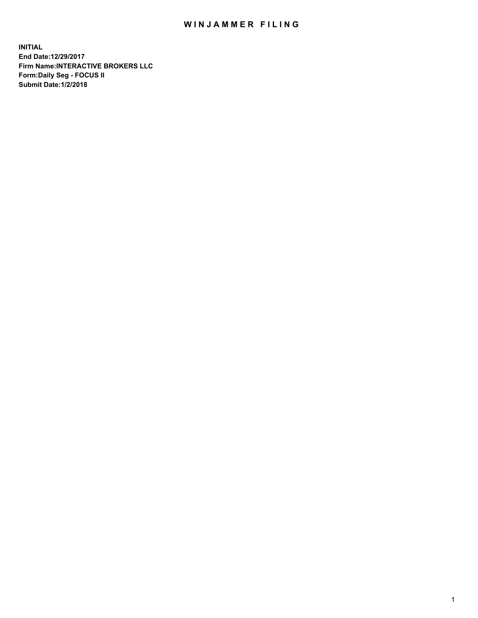## WIN JAMMER FILING

**INITIAL End Date:12/29/2017 Firm Name:INTERACTIVE BROKERS LLC Form:Daily Seg - FOCUS II Submit Date:1/2/2018**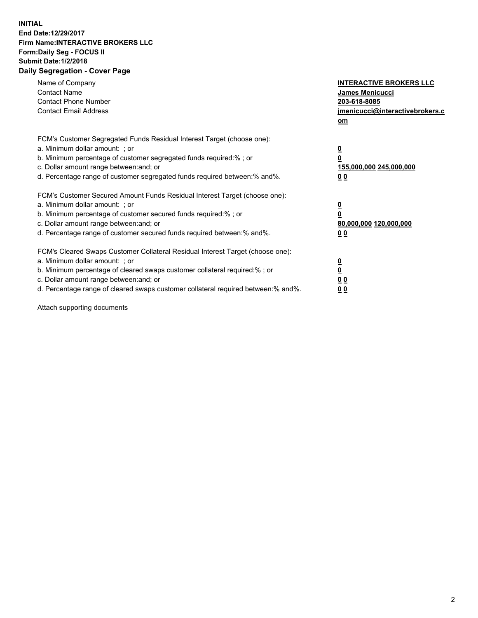## **INITIAL End Date:12/29/2017 Firm Name:INTERACTIVE BROKERS LLC Form:Daily Seg - FOCUS II Submit Date:1/2/2018 Daily Segregation - Cover Page**

| Name of Company<br><b>Contact Name</b><br><b>Contact Phone Number</b><br><b>Contact Email Address</b>                                                                                                                                                                                                                          | <b>INTERACTIVE BROKERS LLC</b><br><b>James Menicucci</b><br>203-618-8085<br>jmenicucci@interactivebrokers.c<br>om |
|--------------------------------------------------------------------------------------------------------------------------------------------------------------------------------------------------------------------------------------------------------------------------------------------------------------------------------|-------------------------------------------------------------------------------------------------------------------|
| FCM's Customer Segregated Funds Residual Interest Target (choose one):<br>a. Minimum dollar amount: ; or<br>b. Minimum percentage of customer segregated funds required:%; or<br>c. Dollar amount range between: and; or<br>d. Percentage range of customer segregated funds required between:% and%.                          | $\overline{\mathbf{0}}$<br>0<br>155,000,000 245,000,000<br>0 <sub>0</sub>                                         |
| FCM's Customer Secured Amount Funds Residual Interest Target (choose one):<br>a. Minimum dollar amount: ; or<br>b. Minimum percentage of customer secured funds required:%; or<br>c. Dollar amount range between: and; or<br>d. Percentage range of customer secured funds required between: % and %.                          | $\overline{\mathbf{0}}$<br>0<br>80,000,000 120,000,000<br>0 <sub>0</sub>                                          |
| FCM's Cleared Swaps Customer Collateral Residual Interest Target (choose one):<br>a. Minimum dollar amount: ; or<br>b. Minimum percentage of cleared swaps customer collateral required:% ; or<br>c. Dollar amount range between: and; or<br>d. Percentage range of cleared swaps customer collateral required between:% and%. | $\overline{\mathbf{0}}$<br>$\overline{\mathbf{0}}$<br>0 <sub>0</sub><br><u>00</u>                                 |

Attach supporting documents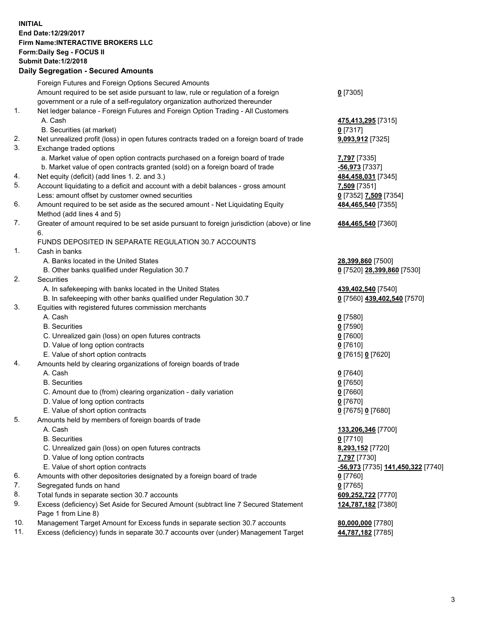## **INITIAL End Date:12/29/2017 Firm Name:INTERACTIVE BROKERS LLC Form:Daily Seg - FOCUS II Submit Date:1/2/2018 Daily Segregation - Secured Amounts**

|     | Foreign Futures and Foreign Options Secured Amounts                                         |                                   |
|-----|---------------------------------------------------------------------------------------------|-----------------------------------|
|     | Amount required to be set aside pursuant to law, rule or regulation of a foreign            | $0$ [7305]                        |
|     | government or a rule of a self-regulatory organization authorized thereunder                |                                   |
| 1.  | Net ledger balance - Foreign Futures and Foreign Option Trading - All Customers             |                                   |
|     | A. Cash                                                                                     | 475,413,295 [7315]                |
|     | B. Securities (at market)                                                                   | $0$ [7317]                        |
| 2.  | Net unrealized profit (loss) in open futures contracts traded on a foreign board of trade   | 9,093,912 [7325]                  |
| 3.  | Exchange traded options                                                                     |                                   |
|     | a. Market value of open option contracts purchased on a foreign board of trade              | 7,797 [7335]                      |
|     | b. Market value of open contracts granted (sold) on a foreign board of trade                | <u>-56,973</u> [7337]             |
| 4.  | Net equity (deficit) (add lines 1. 2. and 3.)                                               | 484,458,031 [7345]                |
| 5.  | Account liquidating to a deficit and account with a debit balances - gross amount           |                                   |
|     |                                                                                             | 7,509 [7351]                      |
|     | Less: amount offset by customer owned securities                                            | 0 [7352] 7,509 [7354]             |
| 6.  | Amount required to be set aside as the secured amount - Net Liquidating Equity              | 484,465,540 [7355]                |
|     | Method (add lines 4 and 5)                                                                  |                                   |
| 7.  | Greater of amount required to be set aside pursuant to foreign jurisdiction (above) or line | 484,465,540 [7360]                |
|     | 6.                                                                                          |                                   |
|     | FUNDS DEPOSITED IN SEPARATE REGULATION 30.7 ACCOUNTS                                        |                                   |
| 1.  | Cash in banks                                                                               |                                   |
|     | A. Banks located in the United States                                                       | 28,399,860 [7500]                 |
|     | B. Other banks qualified under Regulation 30.7                                              | 0 [7520] 28,399,860 [7530]        |
| 2.  | Securities                                                                                  |                                   |
|     | A. In safekeeping with banks located in the United States                                   | 439,402,540 [7540]                |
|     | B. In safekeeping with other banks qualified under Regulation 30.7                          | 0 [7560] 439,402,540 [7570]       |
| 3.  | Equities with registered futures commission merchants                                       |                                   |
|     | A. Cash                                                                                     | $0$ [7580]                        |
|     | <b>B.</b> Securities                                                                        | $0$ [7590]                        |
|     | C. Unrealized gain (loss) on open futures contracts                                         | $0$ [7600]                        |
|     | D. Value of long option contracts                                                           | $0$ [7610]                        |
|     | E. Value of short option contracts                                                          | 0 [7615] 0 [7620]                 |
| 4.  | Amounts held by clearing organizations of foreign boards of trade                           |                                   |
|     | A. Cash                                                                                     | $0$ [7640]                        |
|     | <b>B.</b> Securities                                                                        | $0$ [7650]                        |
|     | C. Amount due to (from) clearing organization - daily variation                             | $0$ [7660]                        |
|     | D. Value of long option contracts                                                           | $0$ [7670]                        |
|     | E. Value of short option contracts                                                          | 0 [7675] 0 [7680]                 |
| 5.  | Amounts held by members of foreign boards of trade                                          |                                   |
|     | A. Cash                                                                                     | 133,206,346 [7700]                |
|     | <b>B.</b> Securities                                                                        | $0$ [7710]                        |
|     | C. Unrealized gain (loss) on open futures contracts                                         | 8,293,152 [7720]                  |
|     | D. Value of long option contracts                                                           | 7,797 [7730]                      |
|     | E. Value of short option contracts                                                          | -56,973 [7735] 141,450,322 [7740] |
| 6.  | Amounts with other depositories designated by a foreign board of trade                      | $0$ [7760]                        |
| 7.  | Segregated funds on hand                                                                    |                                   |
| 8.  |                                                                                             | $0$ [7765]                        |
|     | Total funds in separate section 30.7 accounts                                               | 609,252,722 [7770]                |
| 9.  | Excess (deficiency) Set Aside for Secured Amount (subtract line 7 Secured Statement         | 124,787,182 [7380]                |
|     | Page 1 from Line 8)                                                                         |                                   |
| 10. | Management Target Amount for Excess funds in separate section 30.7 accounts                 | 80,000,000 [7780]                 |
| 11. | Excess (deficiency) funds in separate 30.7 accounts over (under) Management Target          | 44,787,182 [7785]                 |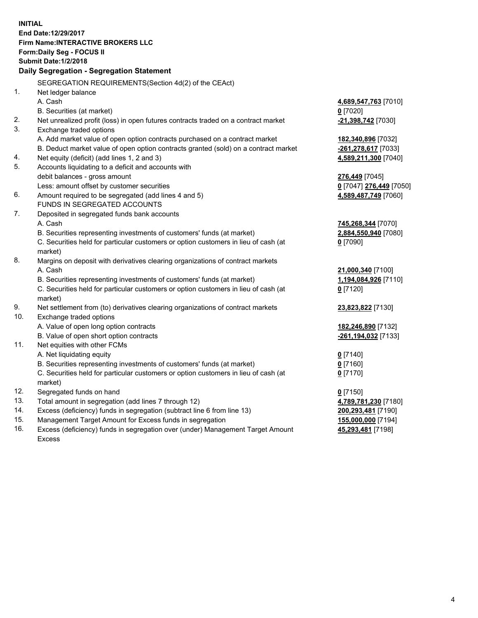| <b>INITIAL</b> | End Date:12/29/2017<br><b>Firm Name:INTERACTIVE BROKERS LLC</b><br>Form: Daily Seg - FOCUS II<br><b>Submit Date: 1/2/2018</b><br>Daily Segregation - Segregation Statement |                         |
|----------------|----------------------------------------------------------------------------------------------------------------------------------------------------------------------------|-------------------------|
|                | SEGREGATION REQUIREMENTS(Section 4d(2) of the CEAct)                                                                                                                       |                         |
| 1.             | Net ledger balance                                                                                                                                                         |                         |
|                | A. Cash                                                                                                                                                                    | 4,689,547,763 [7010]    |
|                | B. Securities (at market)                                                                                                                                                  | $0$ [7020]              |
| 2.             | Net unrealized profit (loss) in open futures contracts traded on a contract market                                                                                         | -21,398,742 [7030]      |
| 3.             | Exchange traded options                                                                                                                                                    |                         |
|                | A. Add market value of open option contracts purchased on a contract market                                                                                                | 182,340,896 [7032]      |
|                | B. Deduct market value of open option contracts granted (sold) on a contract market                                                                                        | -261,278,617 [7033]     |
| 4.             | Net equity (deficit) (add lines 1, 2 and 3)                                                                                                                                | 4,589,211,300 [7040]    |
| 5.             | Accounts liquidating to a deficit and accounts with                                                                                                                        |                         |
|                | debit balances - gross amount                                                                                                                                              | 276,449 [7045]          |
|                | Less: amount offset by customer securities                                                                                                                                 | 0 [7047] 276,449 [7050] |
| 6.             | Amount required to be segregated (add lines 4 and 5)                                                                                                                       | 4,589,487,749 [7060]    |
|                | FUNDS IN SEGREGATED ACCOUNTS                                                                                                                                               |                         |
| 7.             | Deposited in segregated funds bank accounts                                                                                                                                |                         |
|                | A. Cash                                                                                                                                                                    | 745,268,344 [7070]      |
|                | B. Securities representing investments of customers' funds (at market)                                                                                                     | 2,884,550,940 [7080]    |
|                | C. Securities held for particular customers or option customers in lieu of cash (at                                                                                        | $0$ [7090]              |
|                | market)                                                                                                                                                                    |                         |
| 8.             | Margins on deposit with derivatives clearing organizations of contract markets                                                                                             |                         |
|                | A. Cash                                                                                                                                                                    | 21,000,340 [7100]       |
|                | B. Securities representing investments of customers' funds (at market)                                                                                                     | 1,194,084,926 [7110]    |
|                | C. Securities held for particular customers or option customers in lieu of cash (at<br>market)                                                                             | $0$ [7120]              |
| 9.             | Net settlement from (to) derivatives clearing organizations of contract markets                                                                                            | 23,823,822 [7130]       |
| 10.            | Exchange traded options                                                                                                                                                    |                         |
|                | A. Value of open long option contracts                                                                                                                                     | 182,246,890 [7132]      |
|                | B. Value of open short option contracts                                                                                                                                    | -261,194,032 [7133]     |
| 11.            | Net equities with other FCMs                                                                                                                                               |                         |
|                | A. Net liquidating equity                                                                                                                                                  | $0$ [7140]              |
|                | B. Securities representing investments of customers' funds (at market)                                                                                                     | $0$ [7160]              |
|                | C. Securities held for particular customers or option customers in lieu of cash (at                                                                                        | $0$ [7170]              |
|                | market)                                                                                                                                                                    |                         |
| 12.            | Segregated funds on hand                                                                                                                                                   | $0$ [7150]              |
| 13.            | Total amount in segregation (add lines 7 through 12)                                                                                                                       | 4,789,781,230 [7180]    |
| 14.            | Excess (deficiency) funds in segregation (subtract line 6 from line 13)                                                                                                    | 200,293,481 [7190]      |
| 15.            | Management Target Amount for Excess funds in segregation                                                                                                                   | 155,000,000 [7194]      |
| 16.            | Excess (deficiency) funds in segregation over (under) Management Target Amount                                                                                             | 45,293,481 [7198]       |

16. Excess (deficiency) funds in segregation over (under) Management Target Amount Excess